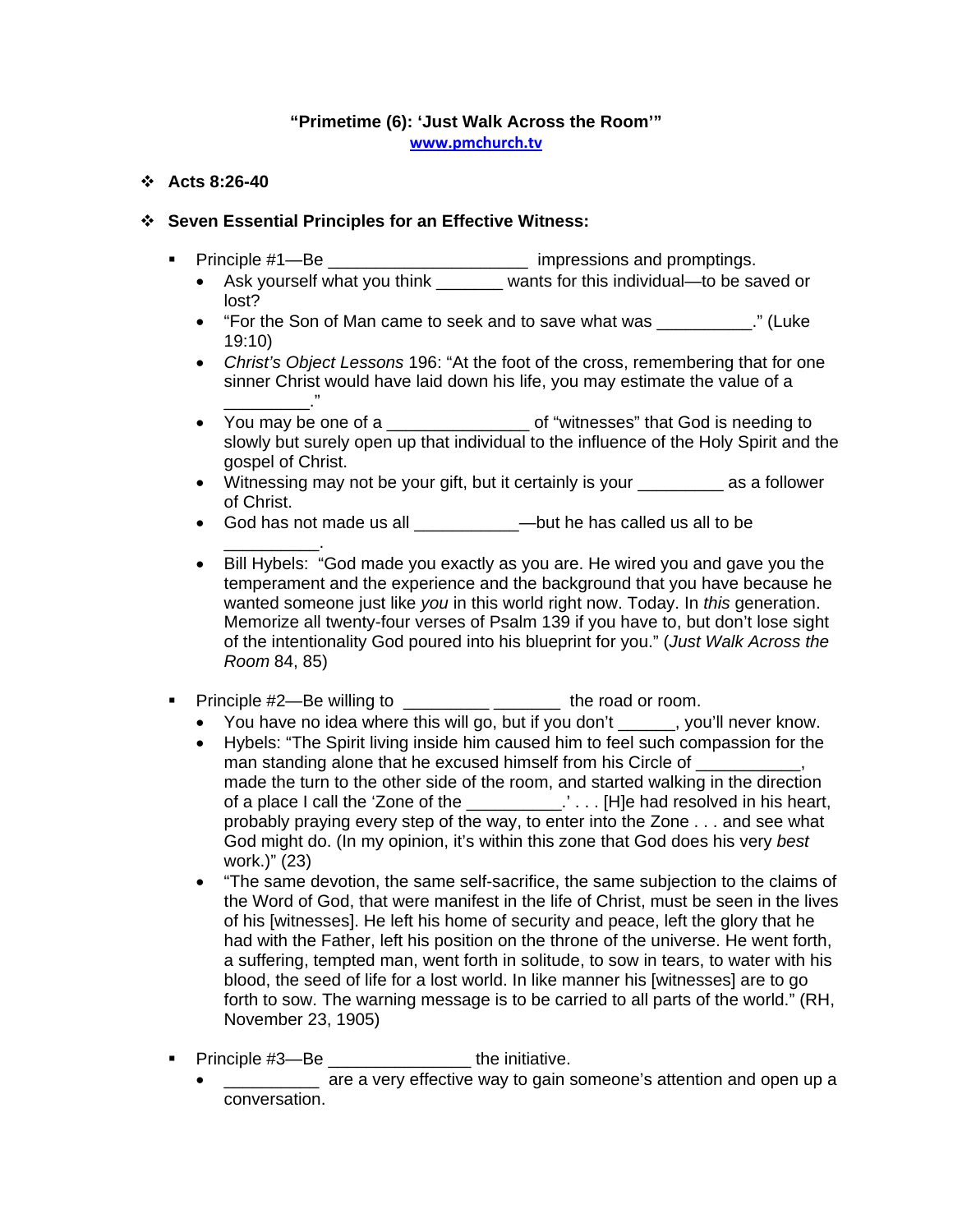## **"Primetime (6): 'Just Walk Across the Room'" [www.pmchurch.tv](http://www.pmchurch.tv/)**

## **Acts 8:26-40**

## **Seven Essential Principles for an Effective Witness:**

- Principle #1—Be \_\_\_\_\_\_\_\_\_\_\_\_\_\_\_\_\_\_\_\_\_\_\_ impressions and promptings.
	- Ask yourself what you think \_\_\_\_\_\_\_ wants for this individual—to be saved or lost?
	- "For the Son of Man came to seek and to save what was \_\_\_\_\_\_\_\_\_\_." (Luke 19:10)
	- *Christ's Object Lessons* 196: "At the foot of the cross, remembering that for one sinner Christ would have laid down his life, you may estimate the value of a  $\overline{\phantom{a}}$
	- You may be one of a  $\overline{a}$  of "witnesses" that God is needing to slowly but surely open up that individual to the influence of the Holy Spirit and the gospel of Christ.
	- Witnessing may not be your gift, but it certainly is your \_\_\_\_\_\_\_\_\_ as a follower of Christ.
	- God has not made us all **budge —**but he has called us all to be
	- \_\_\_\_\_\_\_\_\_\_. • Bill Hybels: "God made you exactly as you are. He wired you and gave you the temperament and the experience and the background that you have because he wanted someone just like *you* in this world right now. Today. In *this* generation. Memorize all twenty-four verses of Psalm 139 if you have to, but don't lose sight of the intentionality God poured into his blueprint for you." (*Just Walk Across the Room* 84, 85)
- Principle #2—Be willing to \_\_\_\_\_\_\_\_\_\_\_\_\_\_\_\_\_\_\_\_\_\_\_ the road or room.
	- You have no idea where this will go, but if you don't , you'll never know.
	- Hybels: "The Spirit living inside him caused him to feel such compassion for the man standing alone that he excused himself from his Circle of \_\_\_\_\_\_\_\_\_\_, made the turn to the other side of the room, and started walking in the direction of a place I call the 'Zone of the \_\_\_\_\_\_\_\_\_\_.' . . . [H]e had resolved in his heart, probably praying every step of the way, to enter into the Zone . . . and see what God might do. (In my opinion, it's within this zone that God does his very *best* work.)" (23)
	- "The same devotion, the same self-sacrifice, the same subjection to the claims of the Word of God, that were manifest in the life of Christ, must be seen in the lives of his [witnesses]. He left his home of security and peace, left the glory that he had with the Father, left his position on the throne of the universe. He went forth, a suffering, tempted man, went forth in solitude, to sow in tears, to water with his blood, the seed of life for a lost world. In like manner his [witnesses] are to go forth to sow. The warning message is to be carried to all parts of the world." (RH, November 23, 1905)
- Principle #3—Be **business** the initiative.
	- are a very effective way to gain someone's attention and open up a conversation.